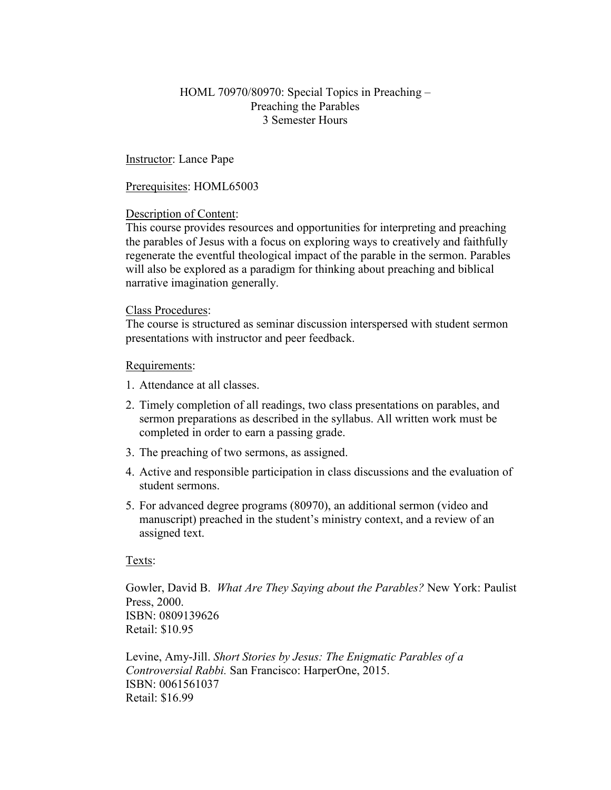# HOML 70970/80970: Special Topics in Preaching – Preaching the Parables 3 Semester Hours

Instructor: Lance Pape

Prerequisites: HOML65003

## Description of Content:

This course provides resources and opportunities for interpreting and preaching the parables of Jesus with a focus on exploring ways to creatively and faithfully regenerate the eventful theological impact of the parable in the sermon. Parables will also be explored as a paradigm for thinking about preaching and biblical narrative imagination generally.

## Class Procedures:

The course is structured as seminar discussion interspersed with student sermon presentations with instructor and peer feedback.

### Requirements:

- 1. Attendance at all classes.
- 2. Timely completion of all readings, two class presentations on parables, and sermon preparations as described in the syllabus. All written work must be completed in order to earn a passing grade.
- 3. The preaching of two sermons, as assigned.
- 4. Active and responsible participation in class discussions and the evaluation of student sermons.
- 5. For advanced degree programs (80970), an additional sermon (video and manuscript) preached in the student's ministry context, and a review of an assigned text.

### Texts:

Gowler, David B. *What Are They Saying about the Parables?* New York: Paulist Press, 2000. ISBN: 0809139626 Retail: \$10.95

Levine, Amy-Jill. *Short Stories by Jesus: The Enigmatic Parables of a Controversial Rabbi.* San Francisco: HarperOne, 2015. ISBN: 0061561037 Retail: \$16.99